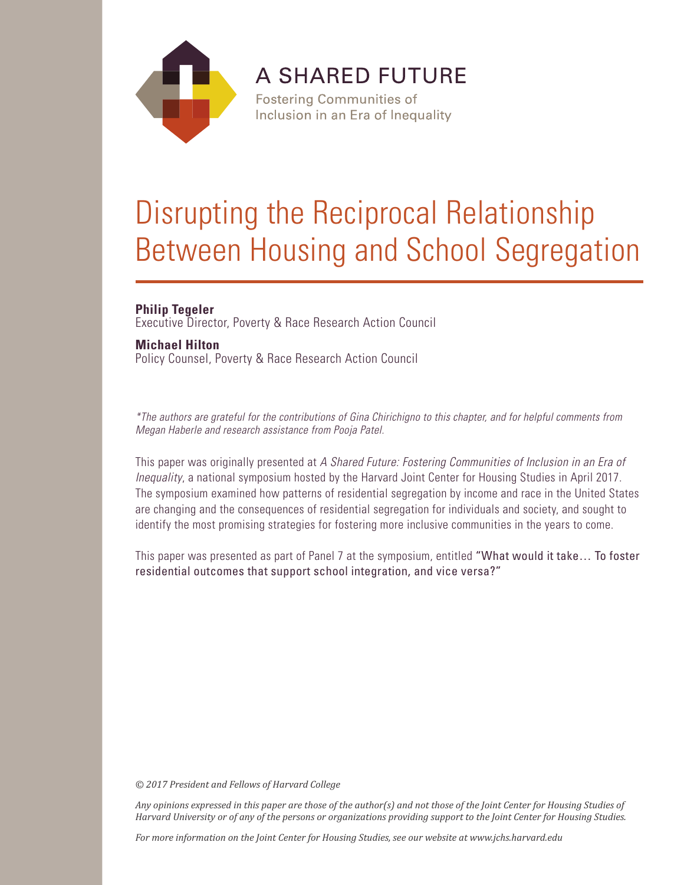

**A SHARED FUTURE** 

**Fostering Communities of** Inclusion in an Era of Inequality

# Disrupting the Reciprocal Relationship Between Housing and School Segregation

# **Philip Tegeler**

Executive Director, Poverty & Race Research Action Council

# **Michael Hilton**

Policy Counsel, Poverty & Race Research Action Council

*\*The authors are grateful for the contributions of Gina Chirichigno to this chapter, and for helpful comments from Megan Haberle and research assistance from Pooja Patel.*

This paper was originally presented at *A Shared Future: Fostering Communities of Inclusion in an Era of Inequality*, a national symposium hosted by the Harvard Joint Center for Housing Studies in April 2017. The symposium examined how patterns of residential segregation by income and race in the United States are changing and the consequences of residential segregation for individuals and society, and sought to identify the most promising strategies for fostering more inclusive communities in the years to come.

This paper was presented as part of Panel 7 at the symposium, entitled "What would it take… To foster residential outcomes that support school integration, and vice versa?"

*© 2017 President and Fellows of Harvard College*

*Any opinions expressed in this paper are those of the author(s) and not those of the Joint Center for Housing Studies of Harvard University or of any of the persons or organizations providing support to the Joint Center for Housing Studies.* 

*For more information on the Joint Center for Housing Studies, see our website at www.jchs.harvard.edu*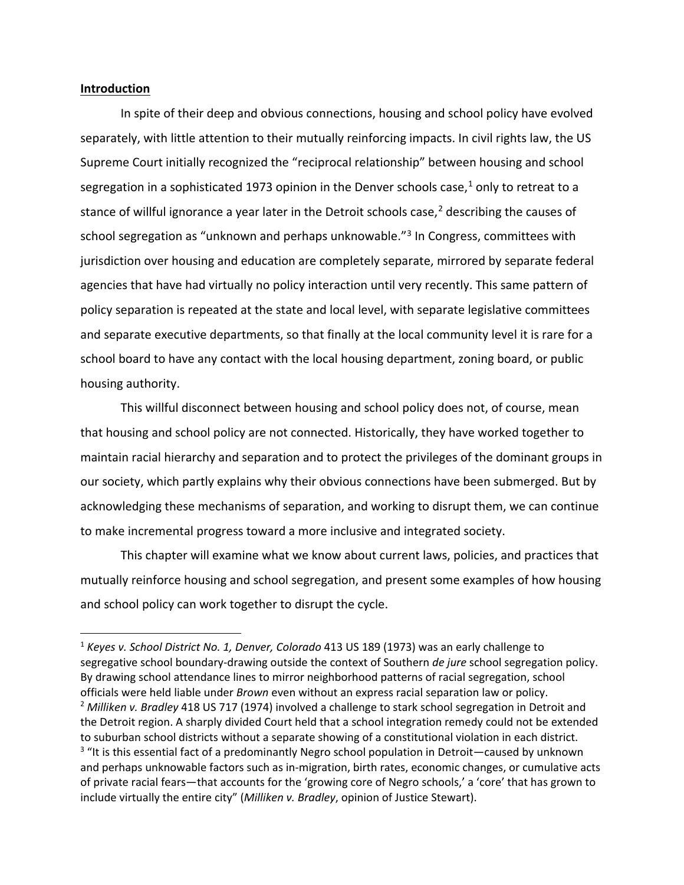#### **Introduction**

In spite of their deep and obvious connections, housing and school policy have evolved separately, with little attention to their mutually reinforcing impacts. In civil rights law, the US Supreme Court initially recognized the "reciprocal relationship" between housing and school segregation in a sophisticated [1](#page-2-0)973 opinion in the Denver schools case, $<sup>1</sup>$  only to retreat to a</sup> stance of willful ignorance a year later in the Detroit schools case, [2](#page-2-1) describing the causes of school segregation as "unknown and perhaps unknowable."<sup>[3](#page-2-2)</sup> In Congress, committees with jurisdiction over housing and education are completely separate, mirrored by separate federal agencies that have had virtually no policy interaction until very recently. This same pattern of policy separation is repeated at the state and local level, with separate legislative committees and separate executive departments, so that finally at the local community level it is rare for a school board to have any contact with the local housing department, zoning board, or public housing authority.

This willful disconnect between housing and school policy does not, of course, mean that housing and school policy are not connected. Historically, they have worked together to maintain racial hierarchy and separation and to protect the privileges of the dominant groups in our society, which partly explains why their obvious connections have been submerged. But by acknowledging these mechanisms of separation, and working to disrupt them, we can continue to make incremental progress toward a more inclusive and integrated society.

This chapter will examine what we know about current laws, policies, and practices that mutually reinforce housing and school segregation, and present some examples of how housing and school policy can work together to disrupt the cycle.

<span id="page-2-2"></span><span id="page-2-1"></span><span id="page-2-0"></span><sup>1</sup> *Keyes v. School District No. 1, Denver, Colorado* 413 US 189 (1973) was an early challenge to segregative school boundary-drawing outside the context of Southern *de jure* school segregation policy. By drawing school attendance lines to mirror neighborhood patterns of racial segregation, school officials were held liable under *Brown* even without an express racial separation law or policy. 2 *Milliken v. Bradley* 418 US 717 (1974) involved a challenge to stark school segregation in Detroit and the Detroit region. A sharply divided Court held that a school integration remedy could not be extended to suburban school districts without a separate showing of a constitutional violation in each district. <sup>3</sup> "It is this essential fact of a predominantly Negro school population in Detroit—caused by unknown and perhaps unknowable factors such as in-migration, birth rates, economic changes, or cumulative acts of private racial fears—that accounts for the 'growing core of Negro schools,' a 'core' that has grown to include virtually the entire city" (*Milliken v. Bradley*, opinion of Justice Stewart).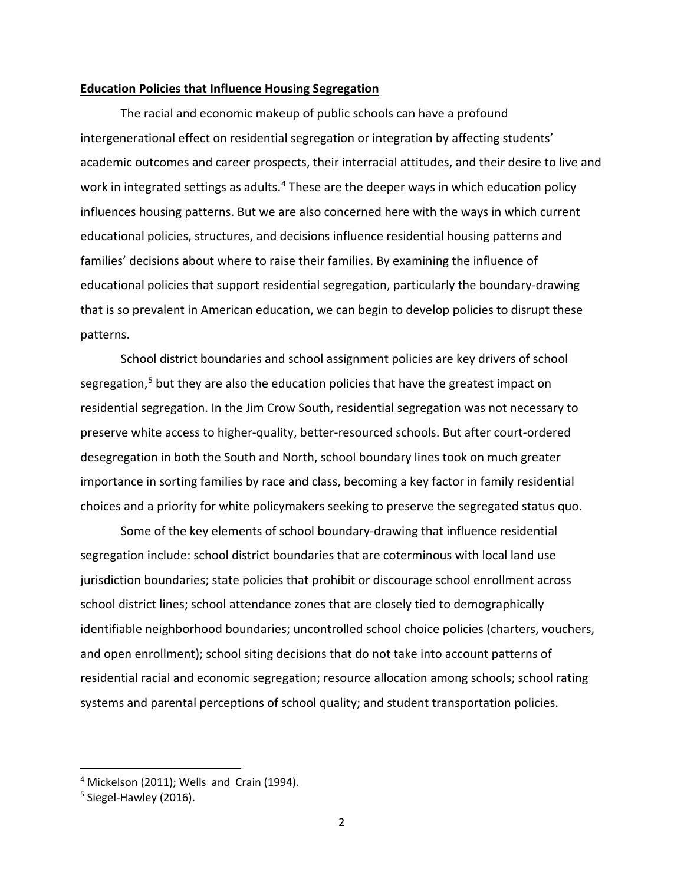#### **Education Policies that Influence Housing Segregation**

The racial and economic makeup of public schools can have a profound intergenerational effect on residential segregation or integration by affecting students' academic outcomes and career prospects, their interracial attitudes, and their desire to live and work in integrated settings as adults.<sup>[4](#page-3-0)</sup> These are the deeper ways in which education policy influences housing patterns. But we are also concerned here with the ways in which current educational policies, structures, and decisions influence residential housing patterns and families' decisions about where to raise their families. By examining the influence of educational policies that support residential segregation, particularly the boundary-drawing that is so prevalent in American education, we can begin to develop policies to disrupt these patterns.

School district boundaries and school assignment policies are key drivers of school segregation,<sup>[5](#page-3-1)</sup> but they are also the education policies that have the greatest impact on residential segregation. In the Jim Crow South, residential segregation was not necessary to preserve white access to higher-quality, better-resourced schools. But after court-ordered desegregation in both the South and North, school boundary lines took on much greater importance in sorting families by race and class, becoming a key factor in family residential choices and a priority for white policymakers seeking to preserve the segregated status quo.

Some of the key elements of school boundary-drawing that influence residential segregation include: school district boundaries that are coterminous with local land use jurisdiction boundaries; state policies that prohibit or discourage school enrollment across school district lines; school attendance zones that are closely tied to demographically identifiable neighborhood boundaries; uncontrolled school choice policies (charters, vouchers, and open enrollment); school siting decisions that do not take into account patterns of residential racial and economic segregation; resource allocation among schools; school rating systems and parental perceptions of school quality; and student transportation policies.

<span id="page-3-0"></span> $4$  Mickelson (2011); Wells and Crain (1994).

<span id="page-3-1"></span> $5$  Siegel-Hawley (2016).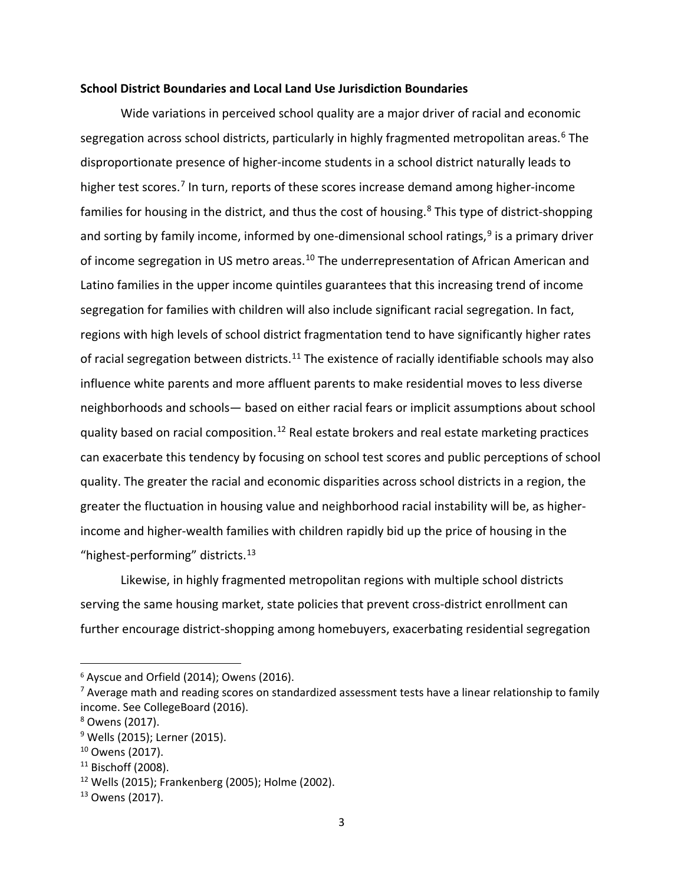#### **School District Boundaries and Local Land Use Jurisdiction Boundaries**

Wide variations in perceived school quality are a major driver of racial and economic segregation across school districts, particularly in highly fragmented metropolitan areas.<sup>[6](#page-4-0)</sup> The disproportionate presence of higher-income students in a school district naturally leads to higher test scores.<sup>[7](#page-4-1)</sup> In turn, reports of these scores increase demand among higher-income families for housing in the district, and thus the cost of housing.<sup>[8](#page-4-2)</sup> This type of district-shopping and sorting by family income, informed by one-dimensional school ratings, $9$  is a primary driver of income segregation in US metro areas.<sup>[10](#page-4-4)</sup> The underrepresentation of African American and Latino families in the upper income quintiles guarantees that this increasing trend of income segregation for families with children will also include significant racial segregation. In fact, regions with high levels of school district fragmentation tend to have significantly higher rates of racial segregation between districts.<sup>[11](#page-4-5)</sup> The existence of racially identifiable schools may also influence white parents and more affluent parents to make residential moves to less diverse neighborhoods and schools— based on either racial fears or implicit assumptions about school quality based on racial composition.<sup>[12](#page-4-6)</sup> Real estate brokers and real estate marketing practices can exacerbate this tendency by focusing on school test scores and public perceptions of school quality. The greater the racial and economic disparities across school districts in a region, the greater the fluctuation in housing value and neighborhood racial instability will be, as higherincome and higher-wealth families with children rapidly bid up the price of housing in the "highest-performing" districts.<sup>[13](#page-4-7)</sup>

Likewise, in highly fragmented metropolitan regions with multiple school districts serving the same housing market, state policies that prevent cross-district enrollment can further encourage district-shopping among homebuyers, exacerbating residential segregation

<span id="page-4-0"></span> <sup>6</sup> Ayscue and Orfield (2014); Owens (2016).

<span id="page-4-1"></span><sup>&</sup>lt;sup>7</sup> Average math and reading scores on standardized assessment tests have a linear relationship to family income. See CollegeBoard (2016).

<span id="page-4-2"></span><sup>8</sup> Owens (2017).

<span id="page-4-3"></span><sup>&</sup>lt;sup>9</sup> Wells (2015); Lerner (2015).

<span id="page-4-4"></span><sup>&</sup>lt;sup>10</sup> Owens (2017).

<span id="page-4-5"></span> $11$  Bischoff (2008).

<span id="page-4-6"></span><sup>12</sup> Wells (2015); Frankenberg (2005); Holme (2002).

<span id="page-4-7"></span> $13$  Owens (2017).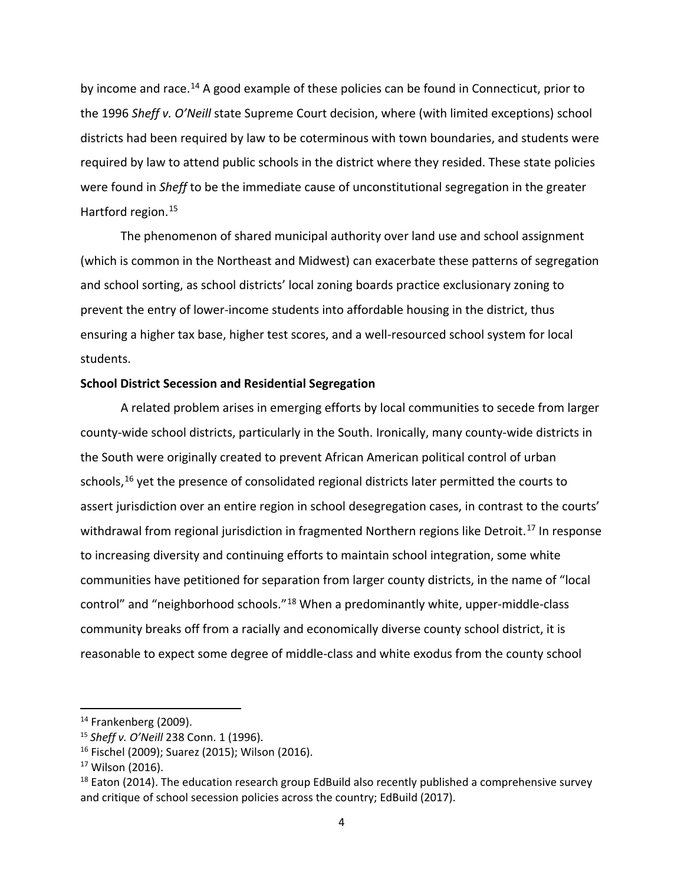by income and race.<sup>[14](#page-5-0)</sup> A good example of these policies can be found in Connecticut, prior to the 1996 *Sheff v. O'Neill* state Supreme Court decision, where (with limited exceptions) school districts had been required by law to be coterminous with town boundaries, and students were required by law to attend public schools in the district where they resided. These state policies were found in *Sheff* to be the immediate cause of unconstitutional segregation in the greater Hartford region.[15](#page-5-1)

The phenomenon of shared municipal authority over land use and school assignment (which is common in the Northeast and Midwest) can exacerbate these patterns of segregation and school sorting, as school districts' local zoning boards practice exclusionary zoning to prevent the entry of lower-income students into affordable housing in the district, thus ensuring a higher tax base, higher test scores, and a well-resourced school system for local students.

#### **School District Secession and Residential Segregation**

A related problem arises in emerging efforts by local communities to secede from larger county-wide school districts, particularly in the South. Ironically, many county-wide districts in the South were originally created to prevent African American political control of urban schools,<sup>[16](#page-5-2)</sup> yet the presence of consolidated regional districts later permitted the courts to assert jurisdiction over an entire region in school desegregation cases, in contrast to the courts' withdrawal from regional jurisdiction in fragmented Northern regions like Detroit.<sup>[17](#page-5-3)</sup> In response to increasing diversity and continuing efforts to maintain school integration, some white communities have petitioned for separation from larger county districts, in the name of "local control" and "neighborhood schools."[18](#page-5-4) When a predominantly white, upper-middle-class community breaks off from a racially and economically diverse county school district, it is reasonable to expect some degree of middle-class and white exodus from the county school

<span id="page-5-0"></span> $14$  Frankenberg (2009).

<span id="page-5-1"></span><sup>15</sup> *Sheff v. O'Neill* 238 Conn. 1 (1996).

<span id="page-5-2"></span><sup>16</sup> Fischel (2009); Suarez (2015); Wilson (2016).

<span id="page-5-3"></span><sup>17</sup> Wilson (2016).

<span id="page-5-4"></span> $18$  Eaton (2014). The education research group EdBuild also recently published a comprehensive survey and critique of school secession policies across the country; EdBuild (2017).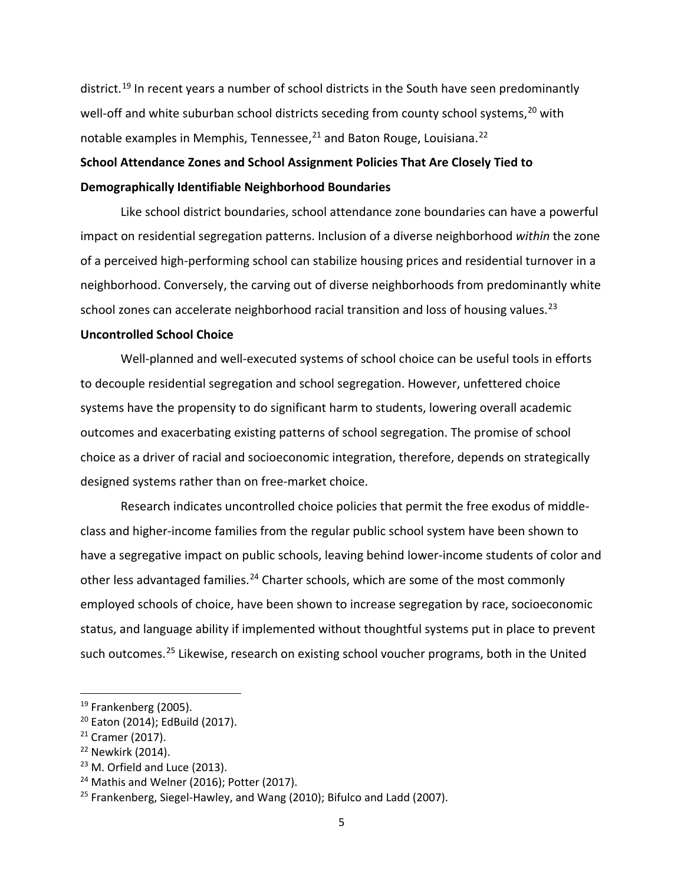district.<sup>[19](#page-6-0)</sup> In recent years a number of school districts in the South have seen predominantly well-off and white suburban school districts seceding from county school systems,<sup>[20](#page-6-1)</sup> with notable examples in Memphis, Tennessee, $^{21}$  $^{21}$  $^{21}$  and Baton Rouge, Louisiana.<sup>[22](#page-6-3)</sup>

# **School Attendance Zones and School Assignment Policies That Are Closely Tied to Demographically Identifiable Neighborhood Boundaries**

Like school district boundaries, school attendance zone boundaries can have a powerful impact on residential segregation patterns. Inclusion of a diverse neighborhood *within* the zone of a perceived high-performing school can stabilize housing prices and residential turnover in a neighborhood. Conversely, the carving out of diverse neighborhoods from predominantly white school zones can accelerate neighborhood racial transition and loss of housing values.<sup>[23](#page-6-4)</sup>

#### **Uncontrolled School Choice**

Well-planned and well-executed systems of school choice can be useful tools in efforts to decouple residential segregation and school segregation. However, unfettered choice systems have the propensity to do significant harm to students, lowering overall academic outcomes and exacerbating existing patterns of school segregation. The promise of school choice as a driver of racial and socioeconomic integration, therefore, depends on strategically designed systems rather than on free-market choice.

Research indicates uncontrolled choice policies that permit the free exodus of middleclass and higher-income families from the regular public school system have been shown to have a segregative impact on public schools, leaving behind lower-income students of color and other less advantaged families.<sup>[24](#page-6-5)</sup> Charter schools, which are some of the most commonly employed schools of choice, have been shown to increase segregation by race, socioeconomic status, and language ability if implemented without thoughtful systems put in place to prevent such outcomes.<sup>[25](#page-6-6)</sup> Likewise, research on existing school voucher programs, both in the United

<span id="page-6-0"></span> <sup>19</sup> Frankenberg (2005).

<span id="page-6-1"></span><sup>20</sup> Eaton (2014); EdBuild (2017).

<span id="page-6-2"></span><sup>&</sup>lt;sup>21</sup> Cramer (2017).

<span id="page-6-4"></span><span id="page-6-3"></span><sup>&</sup>lt;sup>22</sup> Newkirk (2014).<br><sup>23</sup> M. Orfield and Luce (2013).

<span id="page-6-5"></span><sup>&</sup>lt;sup>24</sup> Mathis and Welner (2016); Potter (2017).

<span id="page-6-6"></span><sup>&</sup>lt;sup>25</sup> Frankenberg, Siegel-Hawley, and Wang (2010); Bifulco and Ladd (2007).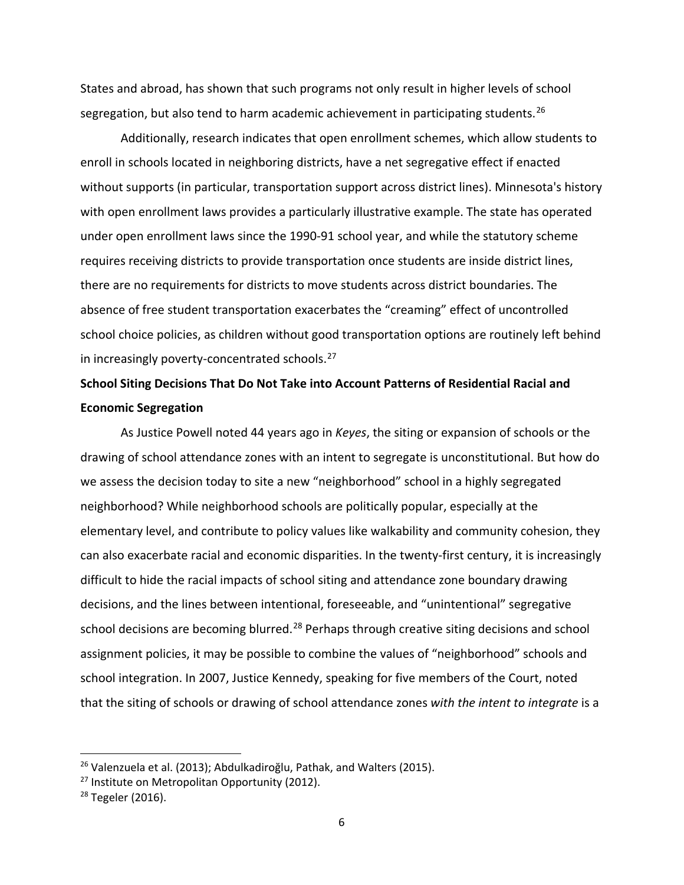States and abroad, has shown that such programs not only result in higher levels of school segregation, but also tend to harm academic achievement in participating students.<sup>[26](#page-7-0)</sup>

Additionally, research indicates that open enrollment schemes, which allow students to enroll in schools located in neighboring districts, have a net segregative effect if enacted without supports (in particular, transportation support across district lines). Minnesota's history with open enrollment laws provides a particularly illustrative example. The state has operated under open enrollment laws since the 1990-91 school year, and while the statutory scheme requires receiving districts to provide transportation once students are inside district lines, there are no requirements for districts to move students across district boundaries. The absence of free student transportation exacerbates the "creaming" effect of uncontrolled school choice policies, as children without good transportation options are routinely left behind in increasingly poverty-concentrated schools.<sup>[27](#page-7-1)</sup>

# **School Siting Decisions That Do Not Take into Account Patterns of Residential Racial and Economic Segregation**

As Justice Powell noted 44 years ago in *Keyes*, the siting or expansion of schools or the drawing of school attendance zones with an intent to segregate is unconstitutional. But how do we assess the decision today to site a new "neighborhood" school in a highly segregated neighborhood? While neighborhood schools are politically popular, especially at the elementary level, and contribute to policy values like walkability and community cohesion, they can also exacerbate racial and economic disparities. In the twenty-first century, it is increasingly difficult to hide the racial impacts of school siting and attendance zone boundary drawing decisions, and the lines between intentional, foreseeable, and "unintentional" segregative school decisions are becoming blurred.<sup>[28](#page-7-2)</sup> Perhaps through creative siting decisions and school assignment policies, it may be possible to combine the values of "neighborhood" schools and school integration. In 2007, Justice Kennedy, speaking for five members of the Court, noted that the siting of schools or drawing of school attendance zones *with the intent to integrate* is a

<span id="page-7-0"></span><sup>&</sup>lt;sup>26</sup> Valenzuela et al. (2013); Abdulkadiroğlu, Pathak, and Walters (2015).

<span id="page-7-1"></span> $27$  Institute on Metropolitan Opportunity (2012).

<span id="page-7-2"></span> $28$  Tegeler (2016).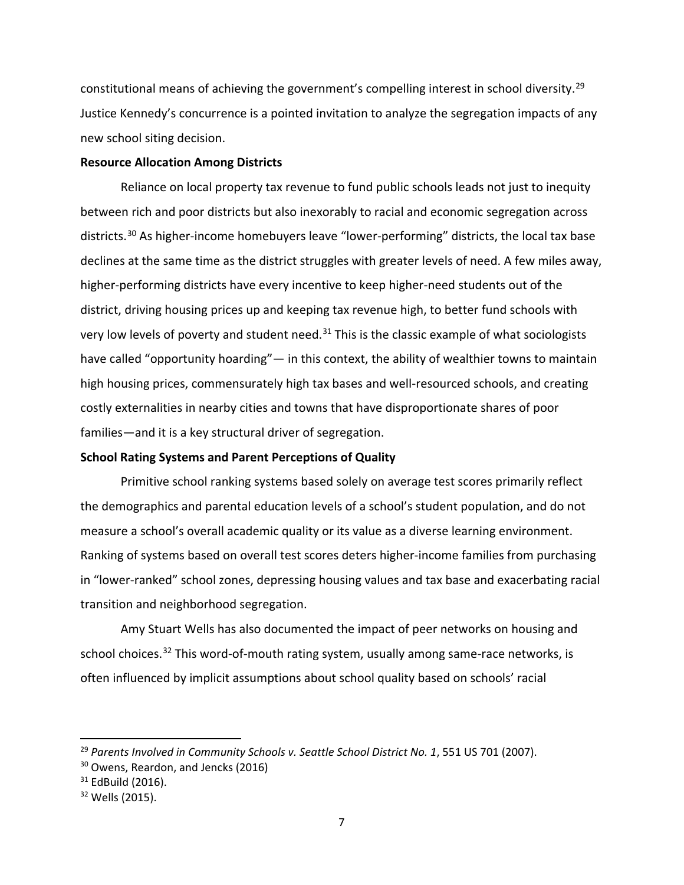constitutional means of achieving the government's compelling interest in school diversity.<sup>[29](#page-8-0)</sup> Justice Kennedy's concurrence is a pointed invitation to analyze the segregation impacts of any new school siting decision.

#### **Resource Allocation Among Districts**

Reliance on local property tax revenue to fund public schools leads not just to inequity between rich and poor districts but also inexorably to racial and economic segregation across districts.<sup>[30](#page-8-1)</sup> As higher-income homebuyers leave "lower-performing" districts, the local tax base declines at the same time as the district struggles with greater levels of need. A few miles away, higher-performing districts have every incentive to keep higher-need students out of the district, driving housing prices up and keeping tax revenue high, to better fund schools with very low levels of poverty and student need. $31$  This is the classic example of what sociologists have called "opportunity hoarding"— in this context, the ability of wealthier towns to maintain high housing prices, commensurately high tax bases and well-resourced schools, and creating costly externalities in nearby cities and towns that have disproportionate shares of poor families—and it is a key structural driver of segregation.

#### **School Rating Systems and Parent Perceptions of Quality**

Primitive school ranking systems based solely on average test scores primarily reflect the demographics and parental education levels of a school's student population, and do not measure a school's overall academic quality or its value as a diverse learning environment. Ranking of systems based on overall test scores deters higher-income families from purchasing in "lower-ranked" school zones, depressing housing values and tax base and exacerbating racial transition and neighborhood segregation.

Amy Stuart Wells has also documented the impact of peer networks on housing and school choices.<sup>[32](#page-8-3)</sup> This word-of-mouth rating system, usually among same-race networks, is often influenced by implicit assumptions about school quality based on schools' racial

<span id="page-8-0"></span><sup>&</sup>lt;sup>29</sup> Parents Involved in Community Schools v. Seattle School District No. 1, 551 US 701 (2007).

<span id="page-8-1"></span><sup>&</sup>lt;sup>30</sup> Owens, Reardon, and Jencks (2016)

<span id="page-8-2"></span><sup>&</sup>lt;sup>31</sup> EdBuild (2016).

<span id="page-8-3"></span> $32$  Wells (2015).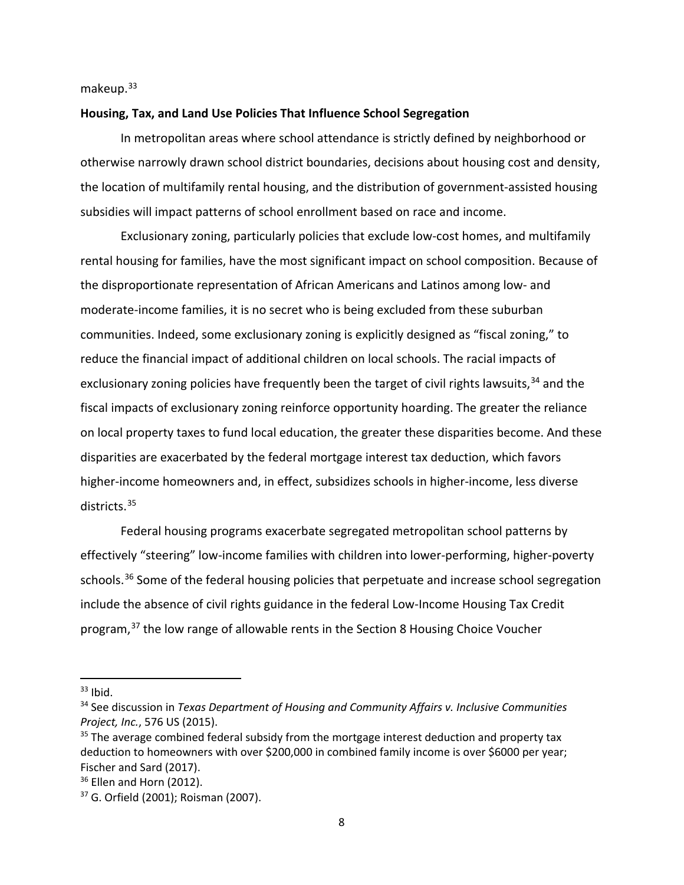makeup.<sup>[33](#page-9-0)</sup>

#### **Housing, Tax, and Land Use Policies That Influence School Segregation**

In metropolitan areas where school attendance is strictly defined by neighborhood or otherwise narrowly drawn school district boundaries, decisions about housing cost and density, the location of multifamily rental housing, and the distribution of government-assisted housing subsidies will impact patterns of school enrollment based on race and income.

Exclusionary zoning, particularly policies that exclude low-cost homes, and multifamily rental housing for families, have the most significant impact on school composition. Because of the disproportionate representation of African Americans and Latinos among low- and moderate-income families, it is no secret who is being excluded from these suburban communities. Indeed, some exclusionary zoning is explicitly designed as "fiscal zoning," to reduce the financial impact of additional children on local schools. The racial impacts of exclusionary zoning policies have frequently been the target of civil rights lawsuits,<sup>[34](#page-9-1)</sup> and the fiscal impacts of exclusionary zoning reinforce opportunity hoarding. The greater the reliance on local property taxes to fund local education, the greater these disparities become. And these disparities are exacerbated by the federal mortgage interest tax deduction, which favors higher-income homeowners and, in effect, subsidizes schools in higher-income, less diverse districts.[35](#page-9-2)

Federal housing programs exacerbate segregated metropolitan school patterns by effectively "steering" low-income families with children into lower-performing, higher-poverty schools.<sup>[36](#page-9-3)</sup> Some of the federal housing policies that perpetuate and increase school segregation include the absence of civil rights guidance in the federal Low-Income Housing Tax Credit program,[37](#page-9-4) the low range of allowable rents in the Section 8 Housing Choice Voucher

<span id="page-9-0"></span> $33$  Ibid.

<span id="page-9-1"></span><sup>34</sup> See discussion in *Texas Department of Housing and Community Affairs v. Inclusive Communities Project, Inc.*, 576 US (2015).

<span id="page-9-2"></span> $35$  The average combined federal subsidy from the mortgage interest deduction and property tax deduction to homeowners with over \$200,000 in combined family income is over \$6000 per year; Fischer and Sard (2017).

<span id="page-9-3"></span><sup>&</sup>lt;sup>36</sup> Ellen and Horn (2012).

<span id="page-9-4"></span><sup>37</sup> G. Orfield (2001); Roisman (2007).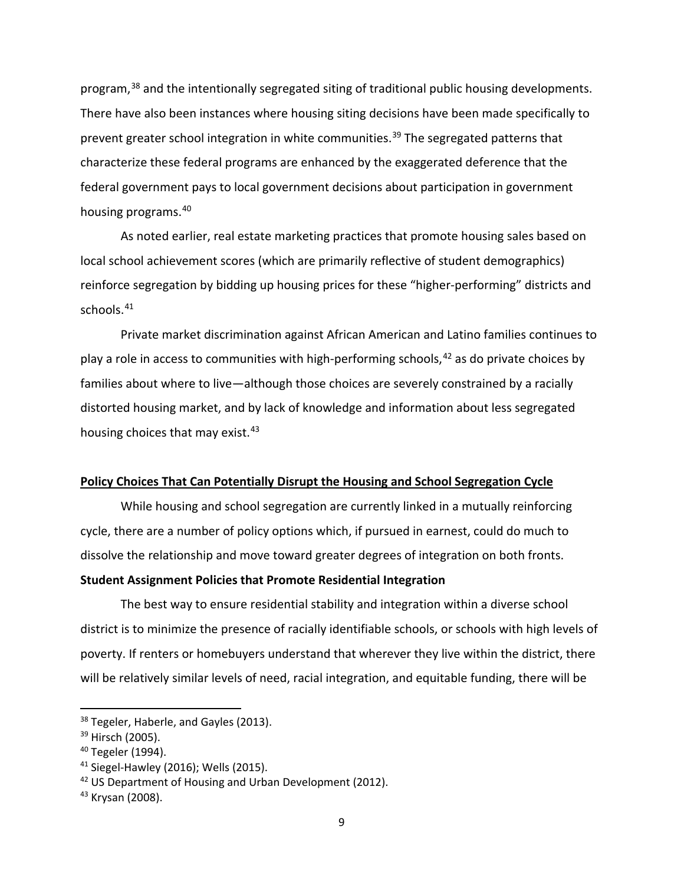program,<sup>[38](#page-10-0)</sup> and the intentionally segregated siting of traditional public housing developments. There have also been instances where housing siting decisions have been made specifically to prevent greater school integration in white communities.<sup>[39](#page-10-1)</sup> The segregated patterns that characterize these federal programs are enhanced by the exaggerated deference that the federal government pays to local government decisions about participation in government housing programs. [40](#page-10-2)

As noted earlier, real estate marketing practices that promote housing sales based on local school achievement scores (which are primarily reflective of student demographics) reinforce segregation by bidding up housing prices for these "higher-performing" districts and schools. [41](#page-10-3)

Private market discrimination against African American and Latino families continues to play a role in access to communities with high-performing schools,<sup>[42](#page-10-4)</sup> as do private choices by families about where to live—although those choices are severely constrained by a racially distorted housing market, and by lack of knowledge and information about less segregated housing choices that may exist.<sup>[43](#page-10-5)</sup>

#### **Policy Choices That Can Potentially Disrupt the Housing and School Segregation Cycle**

While housing and school segregation are currently linked in a mutually reinforcing cycle, there are a number of policy options which, if pursued in earnest, could do much to dissolve the relationship and move toward greater degrees of integration on both fronts.

#### **Student Assignment Policies that Promote Residential Integration**

The best way to ensure residential stability and integration within a diverse school district is to minimize the presence of racially identifiable schools, or schools with high levels of poverty. If renters or homebuyers understand that wherever they live within the district, there will be relatively similar levels of need, racial integration, and equitable funding, there will be

<span id="page-10-0"></span><sup>&</sup>lt;sup>38</sup> Tegeler, Haberle, and Gayles (2013).

<span id="page-10-1"></span><sup>&</sup>lt;sup>39</sup> Hirsch (2005).

<span id="page-10-2"></span><sup>40</sup> Tegeler (1994).

<span id="page-10-3"></span><sup>41</sup> Siegel-Hawley (2016); Wells (2015).

<span id="page-10-4"></span><sup>&</sup>lt;sup>42</sup> US Department of Housing and Urban Development (2012).

<span id="page-10-5"></span><sup>&</sup>lt;sup>43</sup> Krysan (2008).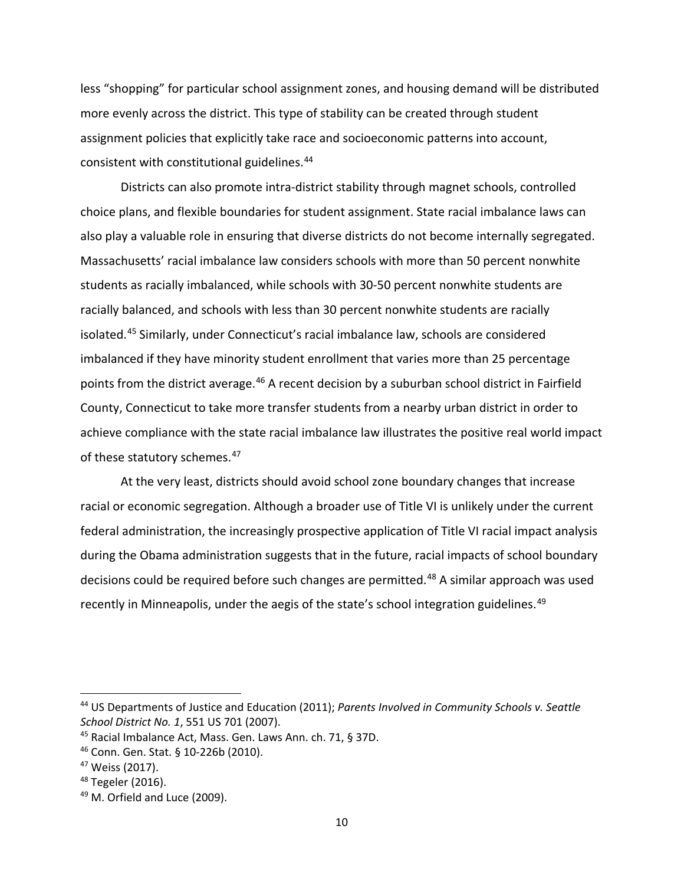less "shopping" for particular school assignment zones, and housing demand will be distributed more evenly across the district. This type of stability can be created through student assignment policies that explicitly take race and socioeconomic patterns into account, consistent with constitutional guidelines.[44](#page-11-0)

Districts can also promote intra-district stability through magnet schools, controlled choice plans, and flexible boundaries for student assignment. State racial imbalance laws can also play a valuable role in ensuring that diverse districts do not become internally segregated. Massachusetts' racial imbalance law considers schools with more than 50 percent nonwhite students as racially imbalanced, while schools with 30-50 percent nonwhite students are racially balanced, and schools with less than 30 percent nonwhite students are racially isolated.[45](#page-11-1) Similarly, under Connecticut's racial imbalance law, schools are considered imbalanced if they have minority student enrollment that varies more than 25 percentage points from the district average.<sup>[46](#page-11-2)</sup> A recent decision by a suburban school district in Fairfield County, Connecticut to take more transfer students from a nearby urban district in order to achieve compliance with the state racial imbalance law illustrates the positive real world impact of these statutory schemes.<sup>[47](#page-11-3)</sup>

At the very least, districts should avoid school zone boundary changes that increase racial or economic segregation. Although a broader use of Title VI is unlikely under the current federal administration, the increasingly prospective application of Title VI racial impact analysis during the Obama administration suggests that in the future, racial impacts of school boundary decisions could be required before such changes are permitted.<sup>[48](#page-11-4)</sup> A similar approach was used recently in Minneapolis, under the aegis of the state's school integration guidelines.<sup>[49](#page-11-5)</sup>

<span id="page-11-0"></span> <sup>44</sup> US Departments of Justice and Education (2011); *Parents Involved in Community Schools v. Seattle School District No. 1*, 551 US 701 (2007).

<span id="page-11-1"></span><sup>45</sup> Racial Imbalance Act, Mass. Gen. Laws Ann. ch. 71, § 37D.

<span id="page-11-2"></span><sup>46</sup> Conn. Gen. Stat. § 10-226b (2010).

<span id="page-11-4"></span><span id="page-11-3"></span><sup>&</sup>lt;sup>47</sup> Weiss (2017).<br><sup>48</sup> Tegeler (2016).

<span id="page-11-5"></span><sup>49</sup> M. Orfield and Luce (2009).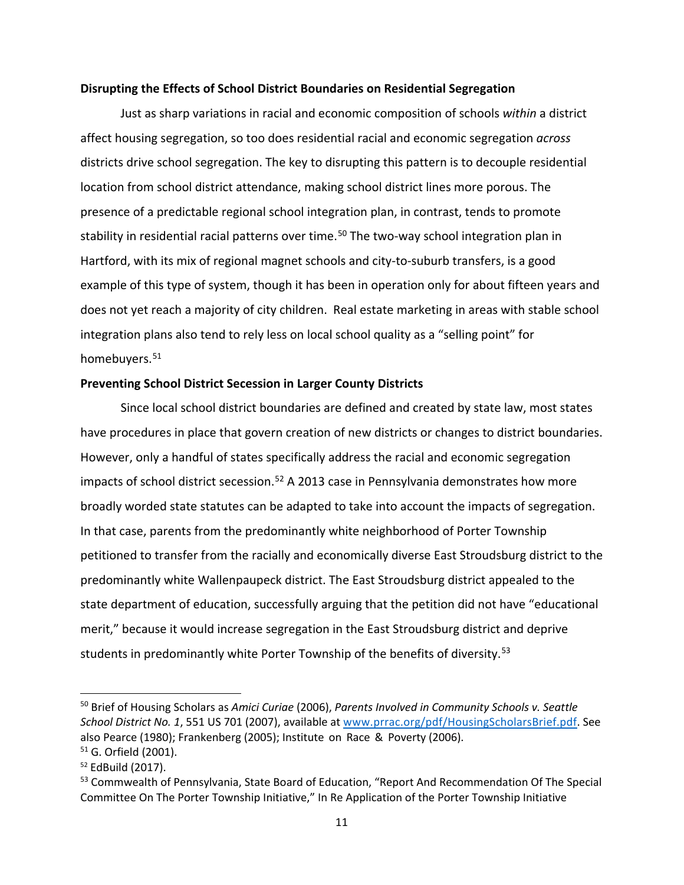#### **Disrupting the Effects of School District Boundaries on Residential Segregation**

Just as sharp variations in racial and economic composition of schools *within* a district affect housing segregation, so too does residential racial and economic segregation *across* districts drive school segregation. The key to disrupting this pattern is to decouple residential location from school district attendance, making school district lines more porous. The presence of a predictable regional school integration plan, in contrast, tends to promote stability in residential racial patterns over time.<sup>[50](#page-12-0)</sup> The two-way school integration plan in Hartford, with its mix of regional magnet schools and city-to-suburb transfers, is a good example of this type of system, though it has been in operation only for about fifteen years and does not yet reach a majority of city children. Real estate marketing in areas with stable school integration plans also tend to rely less on local school quality as a "selling point" for homebuyers.<sup>[51](#page-12-1)</sup>

#### **Preventing School District Secession in Larger County Districts**

Since local school district boundaries are defined and created by state law, most states have procedures in place that govern creation of new districts or changes to district boundaries. However, only a handful of states specifically address the racial and economic segregation impacts of school district secession.<sup>[52](#page-12-2)</sup> A 2013 case in Pennsylvania demonstrates how more broadly worded state statutes can be adapted to take into account the impacts of segregation. In that case, parents from the predominantly white neighborhood of Porter Township petitioned to transfer from the racially and economically diverse East Stroudsburg district to the predominantly white Wallenpaupeck district. The East Stroudsburg district appealed to the state department of education, successfully arguing that the petition did not have "educational merit," because it would increase segregation in the East Stroudsburg district and deprive students in predominantly white Porter Township of the benefits of diversity. [53](#page-12-3)

<span id="page-12-0"></span> <sup>50</sup> Brief of Housing Scholars as *Amici Curiae* (2006), *Parents Involved in Community Schools v. Seattle School District No. 1*, 551 US 701 (2007), available at [www.prrac.org/pdf/HousingScholarsBrief.pdf.](http://www.prrac.org/pdf/HousingScholarsBrief.pdf) See also Pearce (1980); Frankenberg (2005); Institute on Race & Poverty (2006). <sup>51</sup> G. Orfield (2001).

<span id="page-12-2"></span><span id="page-12-1"></span><sup>52</sup> EdBuild (2017).

<span id="page-12-3"></span><sup>&</sup>lt;sup>53</sup> Commwealth of Pennsylvania, State Board of Education, "Report And Recommendation Of The Special Committee On The Porter Township Initiative," In Re Application of the Porter Township Initiative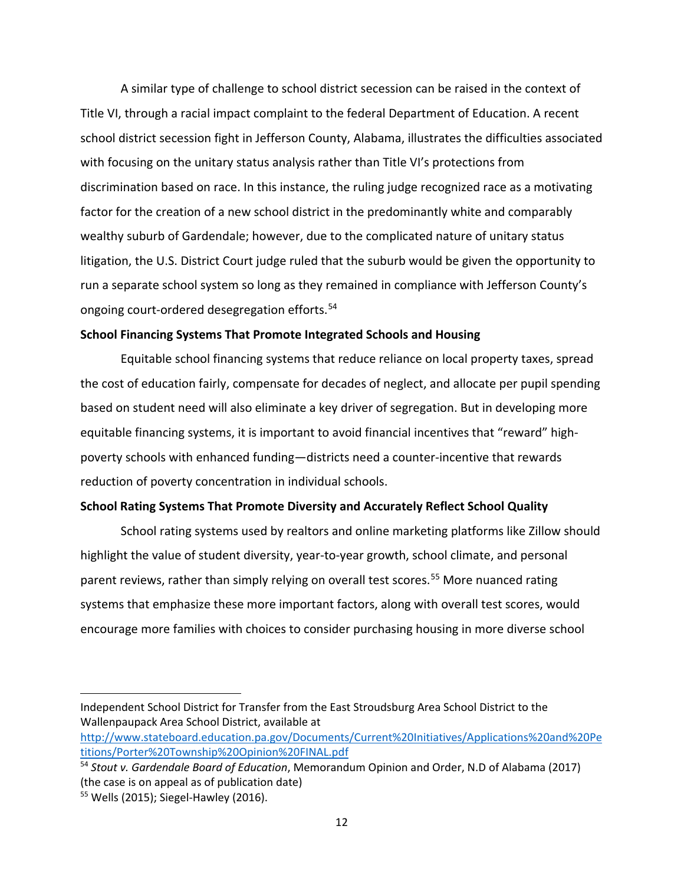A similar type of challenge to school district secession can be raised in the context of Title VI, through a racial impact complaint to the federal Department of Education. A recent school district secession fight in Jefferson County, Alabama, illustrates the difficulties associated with focusing on the unitary status analysis rather than Title VI's protections from discrimination based on race. In this instance, the ruling judge recognized race as a motivating factor for the creation of a new school district in the predominantly white and comparably wealthy suburb of Gardendale; however, due to the complicated nature of unitary status litigation, the U.S. District Court judge ruled that the suburb would be given the opportunity to run a separate school system so long as they remained in compliance with Jefferson County's ongoing court-ordered desegregation efforts.<sup>[54](#page-13-0)</sup>

#### **School Financing Systems That Promote Integrated Schools and Housing**

Equitable school financing systems that reduce reliance on local property taxes, spread the cost of education fairly, compensate for decades of neglect, and allocate per pupil spending based on student need will also eliminate a key driver of segregation. But in developing more equitable financing systems, it is important to avoid financial incentives that "reward" highpoverty schools with enhanced funding—districts need a counter-incentive that rewards reduction of poverty concentration in individual schools.

#### **School Rating Systems That Promote Diversity and Accurately Reflect School Quality**

School rating systems used by realtors and online marketing platforms like Zillow should highlight the value of student diversity, year-to-year growth, school climate, and personal parent reviews, rather than simply relying on overall test scores. [55](#page-13-1) More nuanced rating systems that emphasize these more important factors, along with overall test scores, would encourage more families with choices to consider purchasing housing in more diverse school

l

Independent School District for Transfer from the East Stroudsburg Area School District to the Wallenpaupack Area School District, available at

[http://www.stateboard.education.pa.gov/Documents/Current%20Initiatives/Applications%20and%20Pe](http://www.stateboard.education.pa.gov/Documents/Current%20Initiatives/Applications%20and%20Petitions/Porter%20Township%20Opinion%20FINAL.pdf) [titions/Porter%20Township%20Opinion%20FINAL.pdf](http://www.stateboard.education.pa.gov/Documents/Current%20Initiatives/Applications%20and%20Petitions/Porter%20Township%20Opinion%20FINAL.pdf)

<span id="page-13-0"></span><sup>54</sup> *Stout v. Gardendale Board of Education*, Memorandum Opinion and Order, N.D of Alabama (2017) (the case is on appeal as of publication date)

<span id="page-13-1"></span><sup>55</sup> Wells (2015); Siegel-Hawley (2016).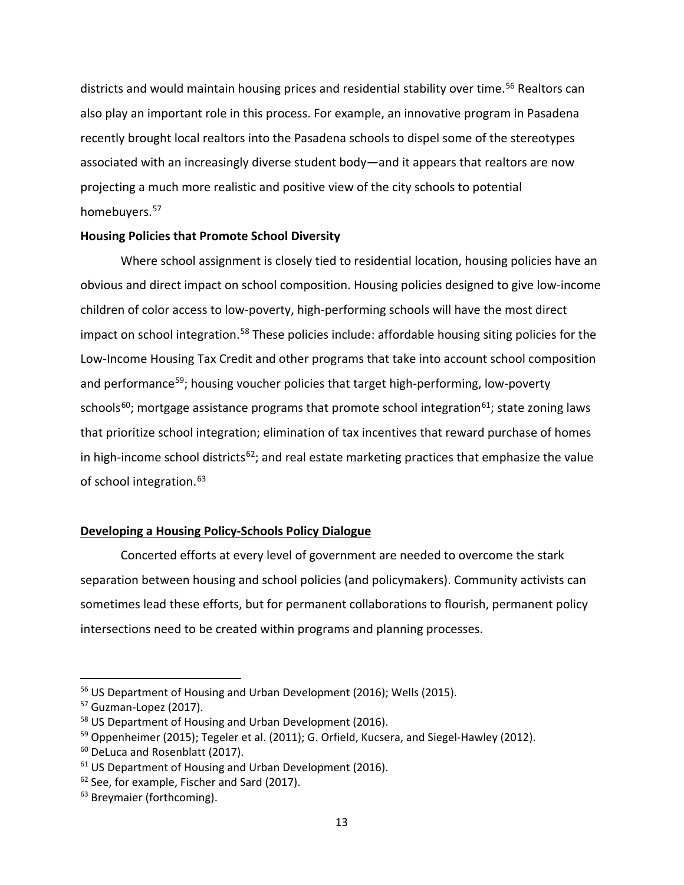districts and would maintain housing prices and residential stability over time.<sup>[56](#page-14-0)</sup> Realtors can also play an important role in this process. For example, an innovative program in Pasadena recently brought local realtors into the Pasadena schools to dispel some of the stereotypes associated with an increasingly diverse student body—and it appears that realtors are now projecting a much more realistic and positive view of the city schools to potential homebuyers.<sup>[57](#page-14-1)</sup>

## **Housing Policies that Promote School Diversity**

Where school assignment is closely tied to residential location, housing policies have an obvious and direct impact on school composition. Housing policies designed to give low-income children of color access to low-poverty, high-performing schools will have the most direct impact on school integration.<sup>[58](#page-14-2)</sup> These policies include: affordable housing siting policies for the Low-Income Housing Tax Credit and other programs that take into account school composition and performance<sup>59</sup>; housing voucher policies that target high-performing, low-poverty schools<sup>60</sup>; mortgage assistance programs that promote school integration<sup>[61](#page-14-5)</sup>; state zoning laws that prioritize school integration; elimination of tax incentives that reward purchase of homes in high-income school districts<sup>[62](#page-14-6)</sup>; and real estate marketing practices that emphasize the value of school integration.<sup>[63](#page-14-7)</sup>

## **Developing a Housing Policy-Schools Policy Dialogue**

Concerted efforts at every level of government are needed to overcome the stark separation between housing and school policies (and policymakers). Community activists can sometimes lead these efforts, but for permanent collaborations to flourish, permanent policy intersections need to be created within programs and planning processes.

<span id="page-14-0"></span> <sup>56</sup> US Department of Housing and Urban Development (2016); Wells (2015).

<span id="page-14-1"></span><sup>57</sup> Guzman-Lopez (2017).

<span id="page-14-2"></span><sup>58</sup> US Department of Housing and Urban Development (2016).

<span id="page-14-3"></span><sup>&</sup>lt;sup>59</sup> Oppenheimer (2015); Tegeler et al. (2011); G. Orfield, Kucsera, and Siegel-Hawley (2012).

<span id="page-14-4"></span><sup>&</sup>lt;sup>60</sup> DeLuca and Rosenblatt (2017).

<span id="page-14-5"></span><sup>&</sup>lt;sup>61</sup> US Department of Housing and Urban Development (2016).

<span id="page-14-6"></span><sup>&</sup>lt;sup>62</sup> See, for example, Fischer and Sard (2017).

<span id="page-14-7"></span><sup>&</sup>lt;sup>63</sup> Breymaier (forthcoming).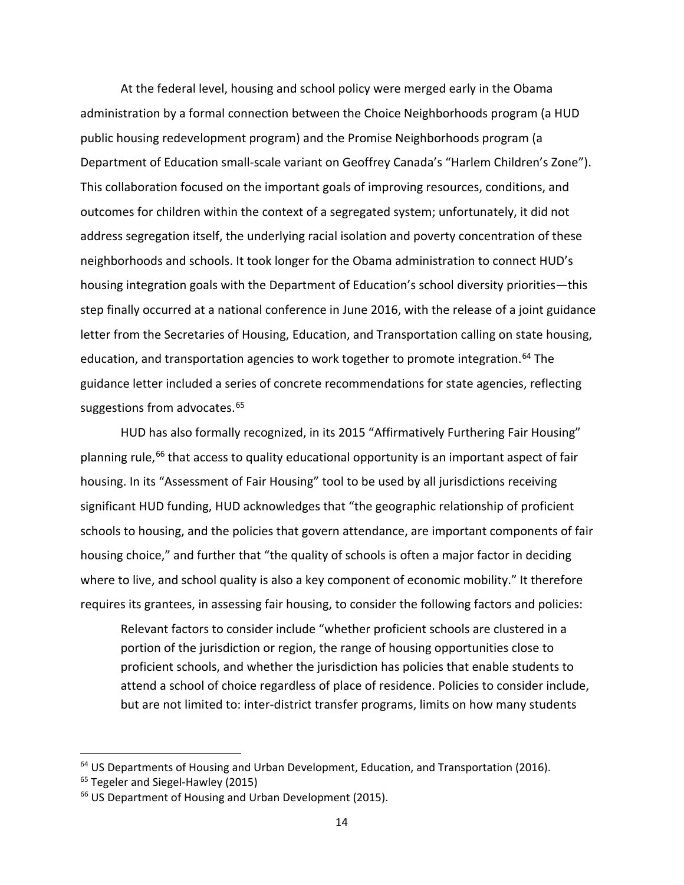At the federal level, housing and school policy were merged early in the Obama administration by a formal connection between the Choice Neighborhoods program (a HUD public housing redevelopment program) and the Promise Neighborhoods program (a Department of Education small-scale variant on Geoffrey Canada's "Harlem Children's Zone"). This collaboration focused on the important goals of improving resources, conditions, and outcomes for children within the context of a segregated system; unfortunately, it did not address segregation itself, the underlying racial isolation and poverty concentration of these neighborhoods and schools. It took longer for the Obama administration to connect HUD's housing integration goals with the Department of Education's school diversity priorities—this step finally occurred at a national conference in June 2016, with the release of a joint guidance letter from the Secretaries of Housing, Education, and Transportation calling on state housing, education, and transportation agencies to work together to promote integration.<sup>[64](#page-15-0)</sup> The guidance letter included a series of concrete recommendations for state agencies, reflecting suggestions from advocates.<sup>[65](#page-15-1)</sup>

HUD has also formally recognized, in its 2015 "Affirmatively Furthering Fair Housing" planning rule,<sup>[66](#page-15-2)</sup> that access to quality educational opportunity is an important aspect of fair housing. In its "Assessment of Fair Housing" tool to be used by all jurisdictions receiving significant HUD funding, HUD acknowledges that "the geographic relationship of proficient schools to housing, and the policies that govern attendance, are important components of fair housing choice," and further that "the quality of schools is often a major factor in deciding where to live, and school quality is also a key component of economic mobility." It therefore requires its grantees, in assessing fair housing, to consider the following factors and policies:

Relevant factors to consider include "whether proficient schools are clustered in a portion of the jurisdiction or region, the range of housing opportunities close to proficient schools, and whether the jurisdiction has policies that enable students to attend a school of choice regardless of place of residence. Policies to consider include, but are not limited to: inter-district transfer programs, limits on how many students

<span id="page-15-0"></span> $64$  US Departments of Housing and Urban Development, Education, and Transportation (2016).

<span id="page-15-1"></span><sup>&</sup>lt;sup>65</sup> Tegeler and Siegel-Hawley (2015)

<span id="page-15-2"></span><sup>&</sup>lt;sup>66</sup> US Department of Housing and Urban Development (2015).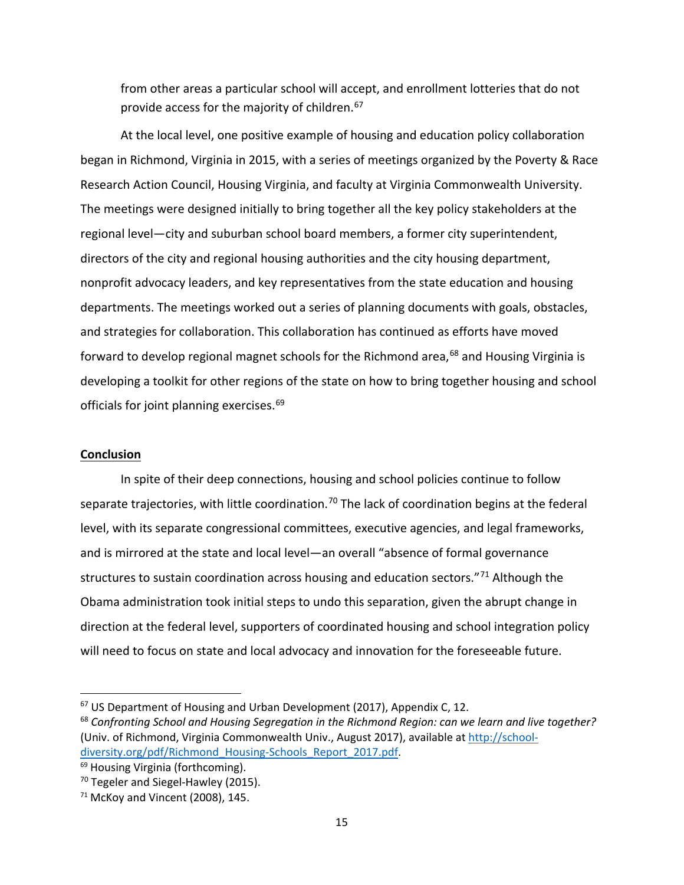from other areas a particular school will accept, and enrollment lotteries that do not provide access for the majority of children.<sup>[67](#page-16-0)</sup>

At the local level, one positive example of housing and education policy collaboration began in Richmond, Virginia in 2015, with a series of meetings organized by the Poverty & Race Research Action Council, Housing Virginia, and faculty at Virginia Commonwealth University. The meetings were designed initially to bring together all the key policy stakeholders at the regional level—city and suburban school board members, a former city superintendent, directors of the city and regional housing authorities and the city housing department, nonprofit advocacy leaders, and key representatives from the state education and housing departments. The meetings worked out a series of planning documents with goals, obstacles, and strategies for collaboration. This collaboration has continued as efforts have moved forward to develop regional magnet schools for the Richmond area, $68$  and Housing Virginia is developing a toolkit for other regions of the state on how to bring together housing and school officials for joint planning exercises.<sup>[69](#page-16-2)</sup>

### **Conclusion**

In spite of their deep connections, housing and school policies continue to follow separate trajectories, with little coordination.<sup>[70](#page-16-3)</sup> The lack of coordination begins at the federal level, with its separate congressional committees, executive agencies, and legal frameworks, and is mirrored at the state and local level—an overall "absence of formal governance structures to sustain coordination across housing and education sectors."<sup>[71](#page-16-4)</sup> Although the Obama administration took initial steps to undo this separation, given the abrupt change in direction at the federal level, supporters of coordinated housing and school integration policy will need to focus on state and local advocacy and innovation for the foreseeable future.

<span id="page-16-0"></span><sup>&</sup>lt;sup>67</sup> US Department of Housing and Urban Development (2017), Appendix C, 12.

<span id="page-16-1"></span><sup>68</sup> *Confronting School and Housing Segregation in the Richmond Region: can we learn and live together?*  (Univ. of Richmond, Virginia Commonwealth Univ., August 2017), available a[t http://school](http://school-diversity.org/pdf/Richmond_Housing-Schools_Report_2017.pdf)[diversity.org/pdf/Richmond\\_Housing-Schools\\_Report\\_2017.pdf.](http://school-diversity.org/pdf/Richmond_Housing-Schools_Report_2017.pdf) 69 Housing Virginia (forthcoming).

<span id="page-16-2"></span>

<span id="page-16-3"></span><sup>&</sup>lt;sup>70</sup> Tegeler and Siegel-Hawley (2015).

<span id="page-16-4"></span> $71$  McKoy and Vincent (2008), 145.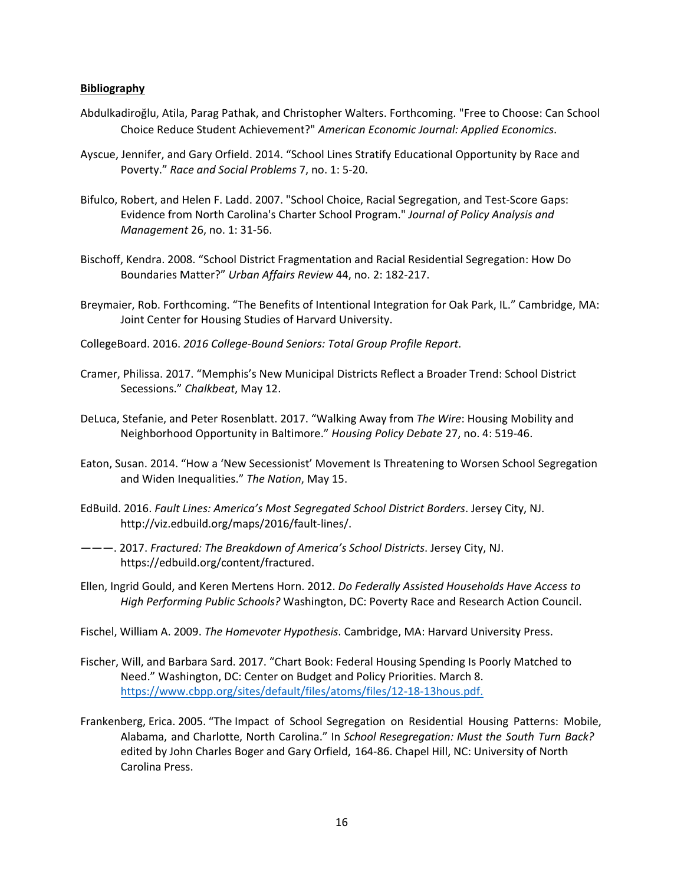#### **Bibliography**

- Abdulkadiroğlu, Atila, Parag Pathak, and Christopher Walters. Forthcoming. "Free to Choose: Can School Choice Reduce Student Achievement?" *American Economic Journal: Applied Economics*.
- Ayscue, Jennifer, and Gary Orfield. 2014. "School Lines Stratify Educational Opportunity by Race and Poverty." *Race and Social Problems* 7, no. 1: 5-20.
- Bifulco, Robert, and Helen F. Ladd. 2007. "School Choice, Racial Segregation, and Test-Score Gaps: Evidence from North Carolina's Charter School Program." *Journal of Policy Analysis and Management* 26, no. 1: 31-56.
- Bischoff, Kendra. 2008. "School District Fragmentation and Racial Residential Segregation: How Do Boundaries Matter?" *Urban Affairs Review* 44, no. 2: 182-217.
- Breymaier, Rob. Forthcoming. "The Benefits of Intentional Integration for Oak Park, IL." Cambridge, MA: Joint Center for Housing Studies of Harvard University.
- CollegeBoard. 2016. *2016 College-Bound Seniors: Total Group Profile Report*.
- Cramer, Philissa. 2017. "Memphis's New Municipal Districts Reflect a Broader Trend: School District Secessions." *Chalkbeat*, May 12.
- DeLuca, Stefanie, and Peter Rosenblatt. 2017. "Walking Away from *The Wire*: Housing Mobility and Neighborhood Opportunity in Baltimore." *Housing Policy Debate* 27, no. 4: 519-46.
- Eaton, Susan. 2014. "How a 'New Secessionist' Movement Is Threatening to Worsen School Segregation and Widen Inequalities." *The Nation*, May 15.
- EdBuild. 2016. *Fault Lines: America's Most Segregated School District Borders*. Jersey City, NJ. http://viz.edbuild.org/maps/2016/fault-lines/.
- ———. 2017. *Fractured: The Breakdown of America's School Districts*. Jersey City, NJ. https://edbuild.org/content/fractured.
- Ellen, Ingrid Gould, and Keren Mertens Horn. 2012. *Do Federally Assisted Households Have Access to High Performing Public Schools?* Washington, DC: Poverty Race and Research Action Council.
- Fischel, William A. 2009. *The Homevoter Hypothesis*. Cambridge, MA: Harvard University Press.
- Fischer, Will, and Barbara Sard. 2017. "Chart Book: Federal Housing Spending Is Poorly Matched to Need." Washington, DC: Center on Budget and Policy Priorities. March 8. [https://www.cbpp.org/sites/default/files/atoms/files/12-18-13hous.pdf.](https://www.cbpp.org/sites/default/files/atoms/files/12-18-13hous.pdf)
- Frankenberg, Erica. 2005. "The Impact of School Segregation on Residential Housing Patterns: Mobile, Alabama, and Charlotte, North Carolina." In *School Resegregation: Must the South Turn Back?* edited by John Charles Boger and Gary Orfield, 164-86. Chapel Hill, NC: University of North Carolina Press.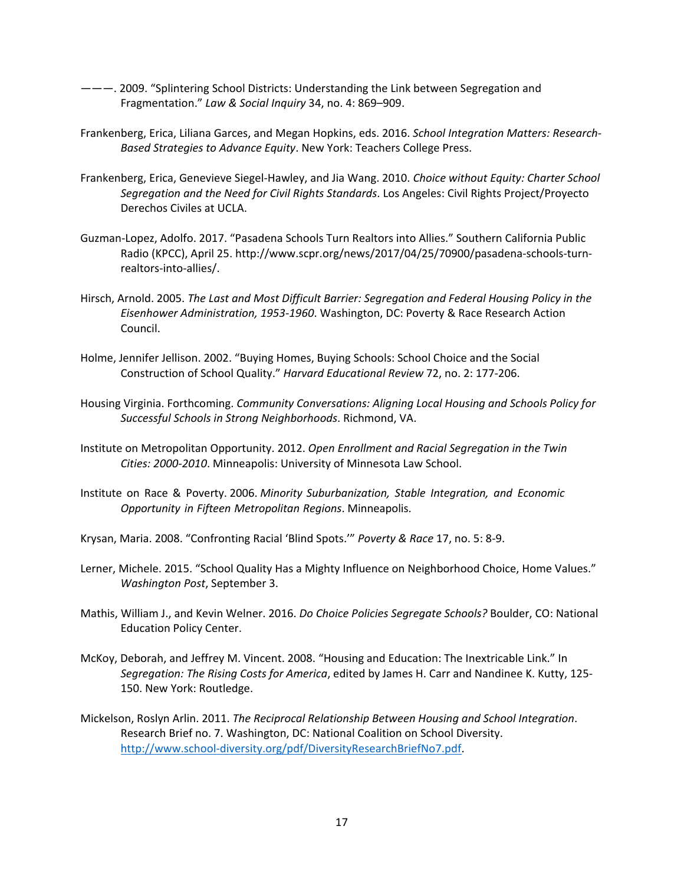- ———. 2009. "Splintering School Districts: Understanding the Link between Segregation and Fragmentation." *Law & Social Inquiry* 34, no. 4: 869–909.
- Frankenberg, Erica, Liliana Garces, and Megan Hopkins, eds. 2016. *School Integration Matters: Research-Based Strategies to Advance Equity*. New York: Teachers College Press.
- Frankenberg, Erica, Genevieve Siegel-Hawley, and Jia Wang. 2010. *Choice without Equity: Charter School Segregation and the Need for Civil Rights Standards*. Los Angeles: Civil Rights Project/Proyecto Derechos Civiles at UCLA.
- Guzman-Lopez, Adolfo. 2017. "Pasadena Schools Turn Realtors into Allies." Southern California Public Radio (KPCC), April 25. http://www.scpr.org/news/2017/04/25/70900/pasadena-schools-turnrealtors-into-allies/.
- Hirsch, Arnold. 2005. *The Last and Most Difficult Barrier: Segregation and Federal Housing Policy in the Eisenhower Administration, 1953-1960*. Washington, DC: Poverty & Race Research Action Council.
- Holme, Jennifer Jellison. 2002. "Buying Homes, Buying Schools: School Choice and the Social Construction of School Quality." *Harvard Educational Review* 72, no. 2: 177-206.
- Housing Virginia. Forthcoming. *Community Conversations: Aligning Local Housing and Schools Policy for Successful Schools in Strong Neighborhoods*. Richmond, VA.
- Institute on Metropolitan Opportunity. 2012. *Open Enrollment and Racial Segregation in the Twin Cities: 2000-2010*. Minneapolis: University of Minnesota Law School.
- Institute on Race & Poverty. 2006. *Minority Suburbanization, Stable Integration, and Economic Opportunity in Fifteen Metropolitan Regions*. Minneapolis.
- Krysan, Maria. 2008. "Confronting Racial 'Blind Spots.'" *Poverty & Race* 17, no. 5: 8-9.
- Lerner, Michele. 2015. "School Quality Has a Mighty Influence on Neighborhood Choice, Home Values." *Washington Post*, September 3.
- Mathis, William J., and Kevin Welner. 2016. *Do Choice Policies Segregate Schools?* Boulder, CO: National Education Policy Center.
- McKoy, Deborah, and Jeffrey M. Vincent. 2008. "Housing and Education: The Inextricable Link." In *Segregation: The Rising Costs for America*, edited by James H. Carr and Nandinee K. Kutty, 125- 150. New York: Routledge.
- Mickelson, Roslyn Arlin. 2011. *The Reciprocal Relationship Between Housing and School Integration*. Research Brief no. 7. Washington, DC: National Coalition on School Diversity. [http://www.school-diversity.org/pdf/DiversityResearchBriefNo7.pdf.](http://www.school-diversity.org/pdf/DiversityResearchBriefNo7.pdf)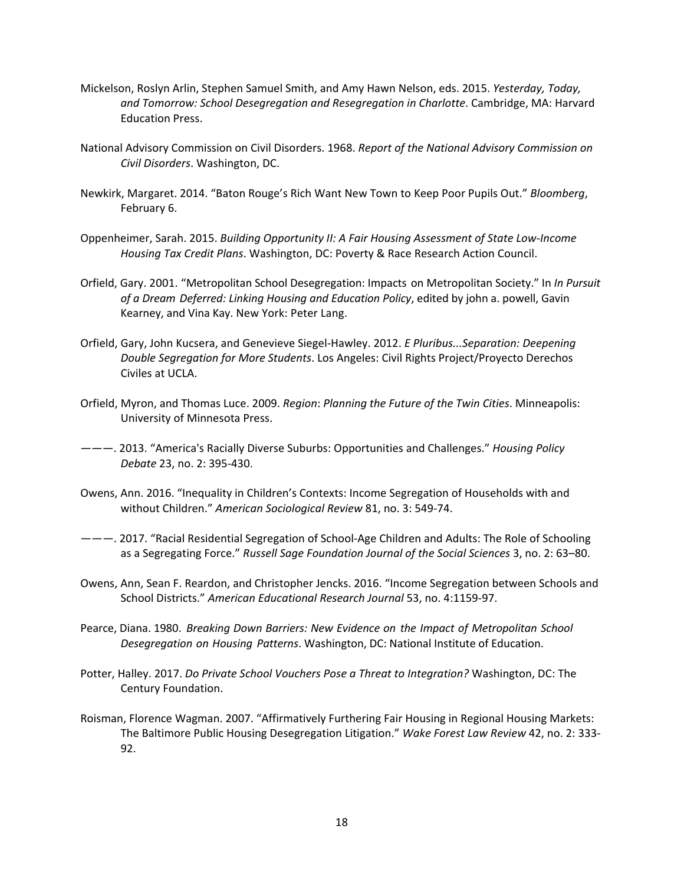- Mickelson, Roslyn Arlin, Stephen Samuel Smith, and Amy Hawn Nelson, eds. 2015. *Yesterday, Today, and Tomorrow: School Desegregation and Resegregation in Charlotte*. Cambridge, MA: Harvard Education Press.
- National Advisory Commission on Civil Disorders. 1968. *Report of the National Advisory Commission on Civil Disorders*. Washington, DC.
- Newkirk, Margaret. 2014. "Baton Rouge's Rich Want New Town to Keep Poor Pupils Out." *Bloomberg*, February 6.
- Oppenheimer, Sarah. 2015. *Building Opportunity II: A Fair Housing Assessment of State Low-Income Housing Tax Credit Plans*. Washington, DC: Poverty & Race Research Action Council.
- Orfield, Gary. 2001. "Metropolitan School Desegregation: Impacts on Metropolitan Society." In *In Pursuit of a Dream Deferred: Linking Housing and Education Policy*, edited by john a. powell, Gavin Kearney, and Vina Kay. New York: Peter Lang.
- Orfield, Gary, John Kucsera, and Genevieve Siegel-Hawley. 2012. *E Pluribus...Separation: Deepening Double Segregation for More Students*. Los Angeles: Civil Rights Project/Proyecto Derechos Civiles at UCLA.
- Orfield, Myron, and Thomas Luce. 2009. *Region*: *Planning the Future of the Twin Cities*. Minneapolis: University of Minnesota Press.
- ———. 2013. "America's Racially Diverse Suburbs: Opportunities and Challenges." *Housing Policy Debate* 23, no. 2: 395-430.
- Owens, Ann. 2016. "Inequality in Children's Contexts: Income Segregation of Households with and without Children." *American Sociological Review* 81, no. 3: 549-74.
- ———. 2017. "Racial Residential Segregation of School-Age Children and Adults: The Role of Schooling as a Segregating Force." *Russell Sage Foundation Journal of the Social Sciences* 3, no. 2: 63–80.
- Owens, Ann, Sean F. Reardon, and Christopher Jencks. 2016. ["Income Segregation between Schools and](http://scholar.harvard.edu/aowens/publications/income-segregation-between-schools-and-districts-1990-2010)  [School Districts.](http://scholar.harvard.edu/aowens/publications/income-segregation-between-schools-and-districts-1990-2010)" *American Educational Research Journal* 53, no. 4:1159-97.
- Pearce, Diana. 1980. *Breaking Down Barriers: New Evidence on the Impact of Metropolitan School Desegregation on Housing Patterns*. Washington, DC: National Institute of Education.
- Potter, Halley. 2017. *Do Private School Vouchers Pose a Threat to Integration?* Washington, DC: The Century Foundation.
- Roisman, Florence Wagman. 2007. "Affirmatively Furthering Fair Housing in Regional Housing Markets: The Baltimore Public Housing Desegregation Litigation." *Wake Forest Law Review* 42, no. 2: 333- 92.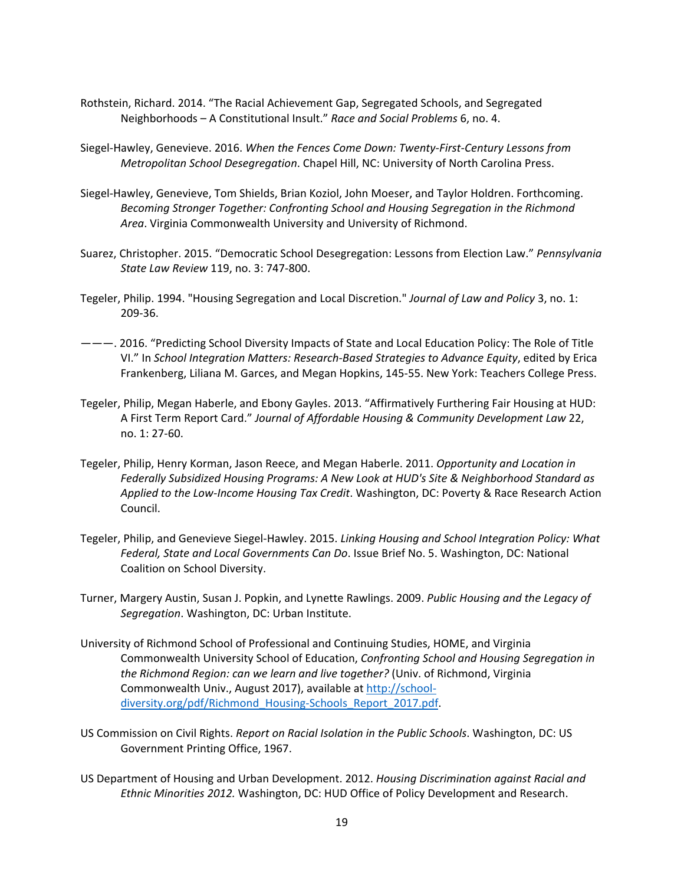- Rothstein, Richard. 2014. "The Racial Achievement Gap, Segregated Schools, and Segregated Neighborhoods – A Constitutional Insult." *Race and Social Problems* 6, no. 4.
- Siegel-Hawley, Genevieve. 2016. *When the Fences Come Down: Twenty-First-Century Lessons from Metropolitan School Desegregation*. Chapel Hill, NC: University of North Carolina Press.
- Siegel-Hawley, Genevieve, Tom Shields, Brian Koziol, John Moeser, and Taylor Holdren. Forthcoming. *Becoming Stronger Together: Confronting School and Housing Segregation in the Richmond Area*. Virginia Commonwealth University and University of Richmond.
- Suarez, Christopher. 2015. "Democratic School Desegregation: Lessons from Election Law." *Pennsylvania State Law Review* 119, no. 3: 747-800.
- Tegeler, Philip. 1994. "Housing Segregation and Local Discretion." *Journal of Law and Policy* 3, no. 1: 209-36.
- ———. 2016. "Predicting School Diversity Impacts of State and Local Education Policy: The Role of Title VI." In *School Integration Matters: Research-Based Strategies to Advance Equity*, edited by Erica Frankenberg, Liliana M. Garces, and Megan Hopkins, 145-55. New York: Teachers College Press.
- Tegeler, Philip, Megan Haberle, and Ebony Gayles. 2013. "Affirmatively Furthering Fair Housing at HUD: A First Term Report Card." *Journal of Affordable Housing & Community Development Law* 22, no. 1: 27-60.
- Tegeler, Philip, Henry Korman, Jason Reece, and Megan Haberle. 2011. *Opportunity and Location in Federally Subsidized Housing Programs: A New Look at HUD's Site & Neighborhood Standard as Applied to the Low-Income Housing Tax Credit*. Washington, DC: Poverty & Race Research Action Council.
- Tegeler, Philip, and Genevieve Siegel-Hawley. 2015. *Linking Housing and School Integration Policy: What Federal, State and Local Governments Can Do*. Issue Brief No. 5. Washington, DC: National Coalition on School Diversity.
- Turner, Margery Austin, Susan J. Popkin, and Lynette Rawlings. 2009. *Public Housing and the Legacy of Segregation*. Washington, DC: Urban Institute.
- University of Richmond School of Professional and Continuing Studies, HOME, and Virginia Commonwealth University School of Education, *Confronting School and Housing Segregation in the Richmond Region: can we learn and live together?* (Univ. of Richmond, Virginia Commonwealth Univ., August 2017), available at [http://school](http://school-diversity.org/pdf/Richmond_Housing-Schools_Report_2017.pdf)[diversity.org/pdf/Richmond\\_Housing-Schools\\_Report\\_2017.pdf.](http://school-diversity.org/pdf/Richmond_Housing-Schools_Report_2017.pdf)
- US Commission on Civil Rights. *Report on Racial Isolation in the Public Schools*. Washington, DC: US Government Printing Office, 1967.
- US Department of Housing and Urban Development. 2012. *Housing Discrimination against Racial and Ethnic Minorities 2012.* Washington, DC: HUD Office of Policy Development and Research.